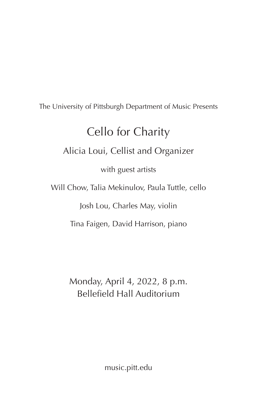The University of Pittsburgh Department of Music Presents

# Cello for Charity

# Alicia Loui, Cellist and Organizer

with guest artists

Will Chow, Talia Mekinulov, Paula Tuttle, cello

Josh Lou, Charles May, violin

Tina Faigen, David Harrison, piano

Monday, April 4, 2022, 8 p.m. Bellefield Hall Auditorium

music.pitt.edu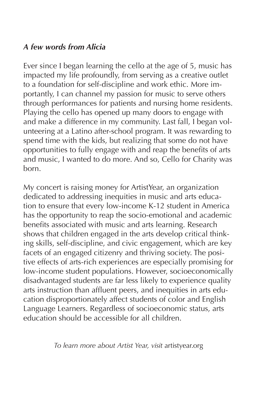## *A few words from Alicia*

Ever since I began learning the cello at the age of 5, music has impacted my life profoundly, from serving as a creative outlet to a foundation for self-discipline and work ethic. More importantly, I can channel my passion for music to serve others through performances for patients and nursing home residents. Playing the cello has opened up many doors to engage with and make a difference in my community. Last fall, I began volunteering at a Latino after-school program. It was rewarding to spend time with the kids, but realizing that some do not have opportunities to fully engage with and reap the benefits of arts and music, I wanted to do more. And so, Cello for Charity was born.

My concert is raising money for ArtistYear, an organization dedicated to addressing inequities in music and arts education to ensure that every low-income K-12 student in America has the opportunity to reap the socio-emotional and academic benefits associated with music and arts learning. Research shows that children engaged in the arts develop critical thinking skills, self-discipline, and civic engagement, which are key facets of an engaged citizenry and thriving society. The positive effects of arts-rich experiences are especially promising for low-income student populations. However, socioeconomically disadvantaged students are far less likely to experience quality arts instruction than affluent peers, and inequities in arts education disproportionately affect students of color and English Language Learners. Regardless of socioeconomic status, arts education should be accessible for all children.

*To learn more about Artist Year, visit* artistyear.org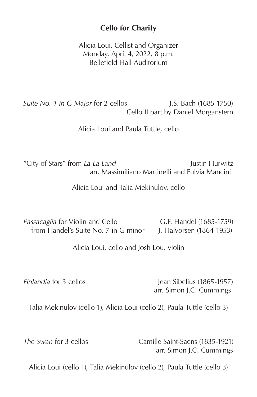#### **Cello for Charity**

Alicia Loui, Cellist and Organizer Monday, April 4, 2022, 8 p.m. Bellefield Hall Auditorium

*Suite No. 1 in G Major* for 2 cellos **J.S. Bach** (1685-1750) Cello II part by Daniel Morganstern

Alicia Loui and Paula Tuttle, cello

"City of Stars" from *La La Land* Justin Hurwitz arr. Massimiliano Martinelli and Fulvia Mancini

Alicia Loui and Talia Mekinulov, cello

Passacaglia for Violin and Cello **G.F. Handel** (1685-1759) from Handel's Suite No. 7 in G minor J. Halvorsen (1864-1953)

Alicia Loui, cello and Josh Lou, violin

*Finlandia* for 3 cellos Jean Sibelius (1865-1957) arr. Simon J.C. Cummings

Talia Mekinulov (cello 1), Alicia Loui (cello 2), Paula Tuttle (cello 3)

*The Swan* for 3 cellos Camille Saint-Saens (1835-1921) arr. Simon J.C. Cummings

Alicia Loui (cello 1), Talia Mekinulov (cello 2), Paula Tuttle (cello 3)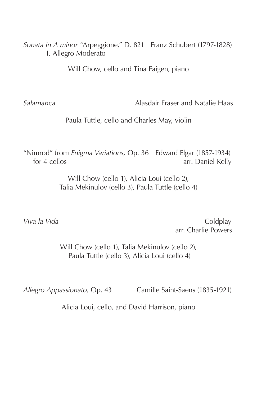*Sonata in A minor "*Arpeggione," D. 821 Franz Schubert (1797-1828) I. Allegro Moderato

Will Chow, cello and Tina Faigen, piano

*Salamanca* Alasdair Fraser and Natalie Haas

Paula Tuttle, cello and Charles May, violin

"Nimrod" from *Enigma Variations,* Op. 36 Edward Elgar (1857-1934) for 4 cellosarr. Daniel Kelly

> Will Chow (cello 1), Alicia Loui (cello 2), Talia Mekinulov (cello 3), Paula Tuttle (cello 4)

*Viva la Vida* **Coldplay Coldplay** arr. Charlie Powers

> Will Chow (cello 1), Talia Mekinulov (cello 2), Paula Tuttle (cello 3), Alicia Loui (cello 4)

*Allegro Appassionato,* Op. 43 Camille Saint-Saens (1835-1921)

Alicia Loui, cello, and David Harrison, piano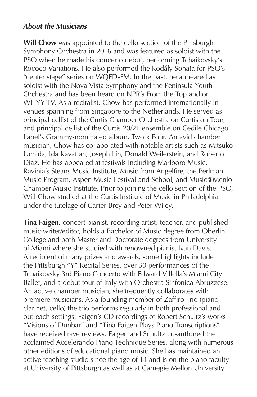#### *About the Musicians*

**Will Chow** was appointed to the cello section of the Pittsburgh Symphony Orchestra in 2016 and was featured as soloist with the PSO when he made his concerto debut, performing Tchaikovsky's Rococo Variations. He also performed the Kodály Sonata for PSO's "center stage" series on WQED-FM. In the past, he appeared as soloist with the Nova Vista Symphony and the Peninsula Youth Orchestra and has been heard on NPR's From the Top and on WHYY-TV. As a recitalist, Chow has performed internationally in venues spanning from Singapore to the Netherlands. He served as principal cellist of the Curtis Chamber Orchestra on Curtis on Tour, and principal cellist of the Curtis 20/21 ensemble on Cedile Chicago Label's Grammy-nominated album, Two x Four. An avid chamber musician, Chow has collaborated with notable artists such as Mitsuko Uchida, Ida Kavafian, Joseph Lin, Donald Weilerstein, and Roberto Diaz. He has appeared at festivals including Marlboro Music, Ravinia's Steans Music Institute, Music from Angelfire, the Perlman Music Program, Aspen Music Festival and School, and Music@Menlo Chamber Music Institute. Prior to joining the cello section of the PSO, Will Chow studied at the Curtis Institute of Music in Philadelphia under the tutelage of Carter Brey and Peter Wiley.

**Tina Faigen**, concert pianist, recording artist, teacher, and published music-writer/editor, holds a Bachelor of Music degree from Oberlin College and both Master and Doctorate degrees from University of Miami where she studied with renowned pianist Ivan Davis. A recipient of many prizes and awards, some highlights include the Pittsburgh "Y" Recital Series, over 30 performances of the Tchaikovsky 3rd Piano Concerto with Edward Villella's Miami City Ballet, and a debut tour of Italy with Orchestra Sinfonica Abruzzese. An active chamber musician, she frequently collaborates with premiere musicians. As a founding member of Zaffiro Trio (piano, clarinet, cello) the trio performs regularly in both professional and outreach settings. Faigen's CD recordings of Robert Schultz's works "Visions of Dunbar" and "Tina Faigen Plays Piano Transcriptions" have received rave reviews. Faigen and Schultz co-authored the acclaimed Accelerando Piano Technique Series, along with numerous other editions of educational piano music. She has maintained an active teaching studio since the age of 14 and is on the piano faculty at University of Pittsburgh as well as at Carnegie Mellon University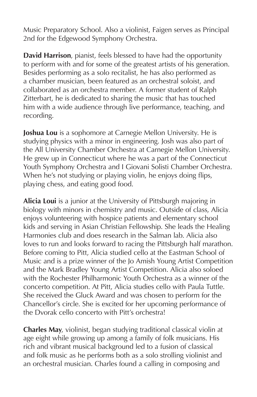Music Preparatory School. Also a violinist, Faigen serves as Principal 2nd for the Edgewood Symphony Orchestra.

**David Harrison**, pianist, feels blessed to have had the opportunity to perform with and for some of the greatest artists of his generation. Besides performing as a solo recitalist, he has also performed as a chamber musician, been featured as an orchestral soloist, and collaborated as an orchestra member. A former student of Ralph Zitterbart, he is dedicated to sharing the music that has touched him with a wide audience through live performance, teaching, and recording.

**Joshua Lou** is a sophomore at Carnegie Mellon University. He is studying physics with a minor in engineering. Josh was also part of the All University Chamber Orchestra at Carnegie Mellon University. He grew up in Connecticut where he was a part of the Connecticut Youth Symphony Orchestra and I Giovani Solisti Chamber Orchestra. When he's not studying or playing violin, he enjoys doing flips, playing chess, and eating good food.

**Alicia Loui** is a junior at the University of Pittsburgh majoring in biology with minors in chemistry and music. Outside of class, Alicia enjoys volunteering with hospice patients and elementary school kids and serving in Asian Christian Fellowship. She leads the Healing Harmonies club and does research in the Salman lab. Alicia also loves to run and looks forward to racing the Pittsburgh half marathon. Before coming to Pitt, Alicia studied cello at the Eastman School of Music and is a prize winner of the Jo Amish Young Artist Competition and the Mark Bradley Young Artist Competition. Alicia also soloed with the Rochester Philharmonic Youth Orchestra as a winner of the concerto competition. At Pitt, Alicia studies cello with Paula Tuttle. She received the Gluck Award and was chosen to perform for the Chancellor's circle. She is excited for her upcoming performance of the Dvorak cello concerto with Pitt's orchestra!

**Charles May**, violinist, began studying traditional classical violin at age eight while growing up among a family of folk musicians. His rich and vibrant musical background led to a fusion of classical and folk music as he performs both as a solo strolling violinist and an orchestral musician. Charles found a calling in composing and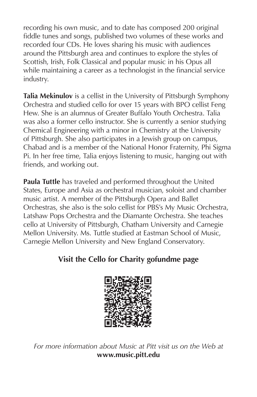recording his own music, and to date has composed 200 original fiddle tunes and songs, published two volumes of these works and recorded four CDs. He loves sharing his music with audiences around the Pittsburgh area and continues to explore the styles of Scottish, Irish, Folk Classical and popular music in his Opus all while maintaining a career as a technologist in the financial service industry.

**Talia Mekinulov** is a cellist in the University of Pittsburgh Symphony Orchestra and studied cello for over 15 years with BPO cellist Feng Hew. She is an alumnus of Greater Buffalo Youth Orchestra. Talia was also a former cello instructor. She is currently a senior studying Chemical Engineering with a minor in Chemistry at the University of Pittsburgh. She also participates in a Jewish group on campus, Chabad and is a member of the National Honor Fraternity, Phi Sigma Pi. In her free time, Talia enjoys listening to music, hanging out with friends, and working out.

**Paula Tuttle** has traveled and performed throughout the United States, Europe and Asia as orchestral musician, soloist and chamber music artist. A member of the Pittsburgh Opera and Ballet Orchestras, she also is the solo cellist for PBS's My Music Orchestra, Latshaw Pops Orchestra and the Diamante Orchestra. She teaches cello at University of Pittsburgh, Chatham University and Carnegie Mellon University. Ms. Tuttle studied at Eastman School of Music, Carnegie Mellon University and New England Conservatory.

### **Visit the Cello for Charity gofundme page**



*For more information about Music at Pitt visit us on the Web at* **www.music.pitt.edu**